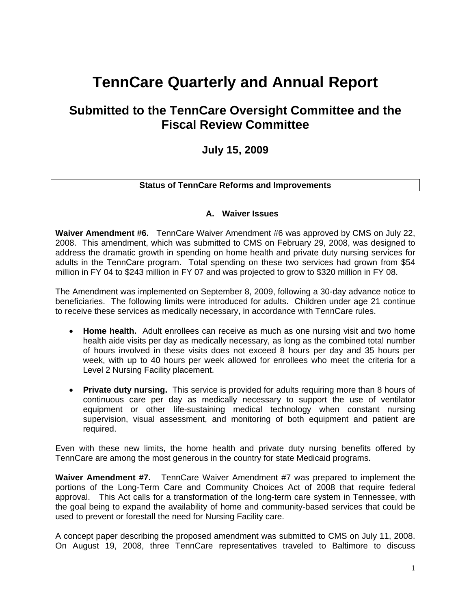# **TennCare Quarterly and Annual Report**

## **Submitted to the TennCare Oversight Committee and the Fiscal Review Committee**

## **July 15, 2009**

## **Status of TennCare Reforms and Improvements**

## **A. Waiver Issues**

**Waiver Amendment #6.** TennCare Waiver Amendment #6 was approved by CMS on July 22, 2008. This amendment, which was submitted to CMS on February 29, 2008, was designed to address the dramatic growth in spending on home health and private duty nursing services for adults in the TennCare program. Total spending on these two services had grown from \$54 million in FY 04 to \$243 million in FY 07 and was projected to grow to \$320 million in FY 08.

The Amendment was implemented on September 8, 2009, following a 30-day advance notice to beneficiaries. The following limits were introduced for adults. Children under age 21 continue to receive these services as medically necessary, in accordance with TennCare rules.

- **Home health.** Adult enrollees can receive as much as one nursing visit and two home health aide visits per day as medically necessary, as long as the combined total number of hours involved in these visits does not exceed 8 hours per day and 35 hours per week, with up to 40 hours per week allowed for enrollees who meet the criteria for a Level 2 Nursing Facility placement.
- **Private duty nursing.** This service is provided for adults requiring more than 8 hours of continuous care per day as medically necessary to support the use of ventilator equipment or other life-sustaining medical technology when constant nursing supervision, visual assessment, and monitoring of both equipment and patient are required.

Even with these new limits, the home health and private duty nursing benefits offered by TennCare are among the most generous in the country for state Medicaid programs.

**Waiver Amendment #7.** TennCare Waiver Amendment #7 was prepared to implement the portions of the Long-Term Care and Community Choices Act of 2008 that require federal approval. This Act calls for a transformation of the long-term care system in Tennessee, with the goal being to expand the availability of home and community-based services that could be used to prevent or forestall the need for Nursing Facility care.

A concept paper describing the proposed amendment was submitted to CMS on July 11, 2008. On August 19, 2008, three TennCare representatives traveled to Baltimore to discuss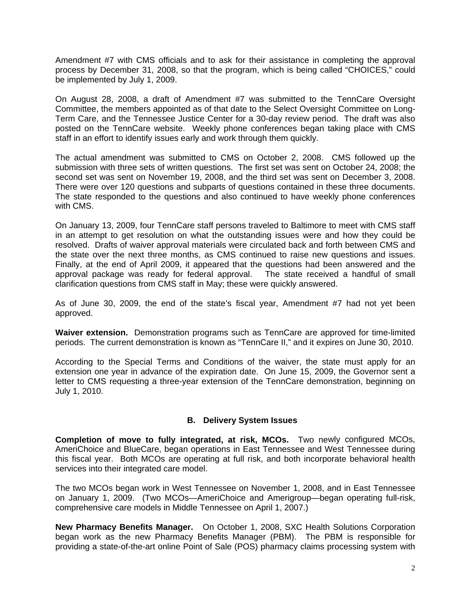Amendment #7 with CMS officials and to ask for their assistance in completing the approval process by December 31, 2008, so that the program, which is being called "CHOICES," could be implemented by July 1, 2009.

On August 28, 2008, a draft of Amendment #7 was submitted to the TennCare Oversight Committee, the members appointed as of that date to the Select Oversight Committee on Long-Term Care, and the Tennessee Justice Center for a 30-day review period. The draft was also posted on the TennCare website. Weekly phone conferences began taking place with CMS staff in an effort to identify issues early and work through them quickly.

The actual amendment was submitted to CMS on October 2, 2008. CMS followed up the submission with three sets of written questions. The first set was sent on October 24, 2008; the second set was sent on November 19, 2008, and the third set was sent on December 3, 2008. There were over 120 questions and subparts of questions contained in these three documents. The state responded to the questions and also continued to have weekly phone conferences with CMS.

On January 13, 2009, four TennCare staff persons traveled to Baltimore to meet with CMS staff in an attempt to get resolution on what the outstanding issues were and how they could be resolved. Drafts of waiver approval materials were circulated back and forth between CMS and the state over the next three months, as CMS continued to raise new questions and issues. Finally, at the end of April 2009, it appeared that the questions had been answered and the approval package was ready for federal approval. The state received a handful of small clarification questions from CMS staff in May; these were quickly answered.

As of June 30, 2009, the end of the state's fiscal year, Amendment #7 had not yet been approved.

**Waiver extension.** Demonstration programs such as TennCare are approved for time-limited periods. The current demonstration is known as "TennCare II," and it expires on June 30, 2010.

According to the Special Terms and Conditions of the waiver, the state must apply for an extension one year in advance of the expiration date. On June 15, 2009, the Governor sent a letter to CMS requesting a three-year extension of the TennCare demonstration, beginning on July 1, 2010.

## **B. Delivery System Issues**

**Completion of move to fully integrated, at risk, MCOs.** Two newly configured MCOs, AmeriChoice and BlueCare, began operations in East Tennessee and West Tennessee during this fiscal year. Both MCOs are operating at full risk, and both incorporate behavioral health services into their integrated care model.

The two MCOs began work in West Tennessee on November 1, 2008, and in East Tennessee on January 1, 2009. (Two MCOs—AmeriChoice and Amerigroup—began operating full-risk, comprehensive care models in Middle Tennessee on April 1, 2007.)

**New Pharmacy Benefits Manager.** On October 1, 2008, SXC Health Solutions Corporation began work as the new Pharmacy Benefits Manager (PBM). The PBM is responsible for providing a state-of-the-art online Point of Sale (POS) pharmacy claims processing system with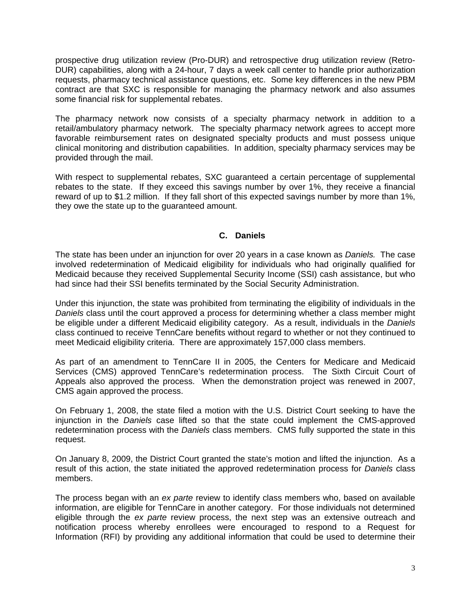prospective drug utilization review (Pro-DUR) and retrospective drug utilization review (Retro-DUR) capabilities, along with a 24-hour, 7 days a week call center to handle prior authorization requests, pharmacy technical assistance questions, etc. Some key differences in the new PBM contract are that SXC is responsible for managing the pharmacy network and also assumes some financial risk for supplemental rebates.

The pharmacy network now consists of a specialty pharmacy network in addition to a retail/ambulatory pharmacy network. The specialty pharmacy network agrees to accept more favorable reimbursement rates on designated specialty products and must possess unique clinical monitoring and distribution capabilities. In addition, specialty pharmacy services may be provided through the mail.

With respect to supplemental rebates, SXC guaranteed a certain percentage of supplemental rebates to the state. If they exceed this savings number by over 1%, they receive a financial reward of up to \$1.2 million. If they fall short of this expected savings number by more than 1%, they owe the state up to the guaranteed amount.

## **C. Daniels**

The state has been under an injunction for over 20 years in a case known as *Daniels.* The case involved redetermination of Medicaid eligibility for individuals who had originally qualified for Medicaid because they received Supplemental Security Income (SSI) cash assistance, but who had since had their SSI benefits terminated by the Social Security Administration.

Under this injunction, the state was prohibited from terminating the eligibility of individuals in the *Daniels* class until the court approved a process for determining whether a class member might be eligible under a different Medicaid eligibility category. As a result, individuals in the *Daniels* class continued to receive TennCare benefits without regard to whether or not they continued to meet Medicaid eligibility criteria. There are approximately 157,000 class members.

As part of an amendment to TennCare II in 2005, the Centers for Medicare and Medicaid Services (CMS) approved TennCare's redetermination process. The Sixth Circuit Court of Appeals also approved the process. When the demonstration project was renewed in 2007, CMS again approved the process.

On February 1, 2008, the state filed a motion with the U.S. District Court seeking to have the injunction in the *Daniels* case lifted so that the state could implement the CMS-approved redetermination process with the *Daniels* class members. CMS fully supported the state in this request.

On January 8, 2009, the District Court granted the state's motion and lifted the injunction. As a result of this action, the state initiated the approved redetermination process for *Daniels* class members.

The process began with an *ex parte* review to identify class members who, based on available information, are eligible for TennCare in another category. For those individuals not determined eligible through the *ex parte* review process, the next step was an extensive outreach and notification process whereby enrollees were encouraged to respond to a Request for Information (RFI) by providing any additional information that could be used to determine their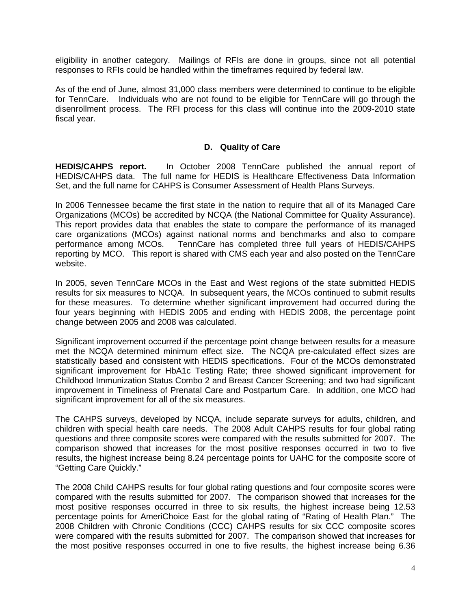eligibility in another category. Mailings of RFIs are done in groups, since not all potential responses to RFIs could be handled within the timeframes required by federal law.

As of the end of June, almost 31,000 class members were determined to continue to be eligible for TennCare. Individuals who are not found to be eligible for TennCare will go through the disenrollment process. The RFI process for this class will continue into the 2009-2010 state fiscal year.

#### **D. Quality of Care**

**HEDIS/CAHPS report.** In October 2008 TennCare published the annual report of HEDIS/CAHPS data. The full name for HEDIS is Healthcare Effectiveness Data Information Set, and the full name for CAHPS is Consumer Assessment of Health Plans Surveys.

In 2006 Tennessee became the first state in the nation to require that all of its Managed Care Organizations (MCOs) be accredited by NCQA (the National Committee for Quality Assurance). This report provides data that enables the state to compare the performance of its managed care organizations (MCOs) against national norms and benchmarks and also to compare performance among MCOs. TennCare has completed three full years of HEDIS/CAHPS reporting by MCO. This report is shared with CMS each year and also posted on the TennCare website.

In 2005, seven TennCare MCOs in the East and West regions of the state submitted HEDIS results for six measures to NCQA. In subsequent years, the MCOs continued to submit results for these measures. To determine whether significant improvement had occurred during the four years beginning with HEDIS 2005 and ending with HEDIS 2008, the percentage point change between 2005 and 2008 was calculated.

Significant improvement occurred if the percentage point change between results for a measure met the NCQA determined minimum effect size. The NCQA pre-calculated effect sizes are statistically based and consistent with HEDIS specifications. Four of the MCOs demonstrated significant improvement for HbA1c Testing Rate; three showed significant improvement for Childhood Immunization Status Combo 2 and Breast Cancer Screening; and two had significant improvement in Timeliness of Prenatal Care and Postpartum Care. In addition, one MCO had significant improvement for all of the six measures.

The CAHPS surveys, developed by NCQA, include separate surveys for adults, children, and children with special health care needs. The 2008 Adult CAHPS results for four global rating questions and three composite scores were compared with the results submitted for 2007. The comparison showed that increases for the most positive responses occurred in two to five results, the highest increase being 8.24 percentage points for UAHC for the composite score of "Getting Care Quickly."

The 2008 Child CAHPS results for four global rating questions and four composite scores were compared with the results submitted for 2007. The comparison showed that increases for the most positive responses occurred in three to six results, the highest increase being 12.53 percentage points for AmeriChoice East for the global rating of "Rating of Health Plan." The 2008 Children with Chronic Conditions (CCC) CAHPS results for six CCC composite scores were compared with the results submitted for 2007. The comparison showed that increases for the most positive responses occurred in one to five results, the highest increase being 6.36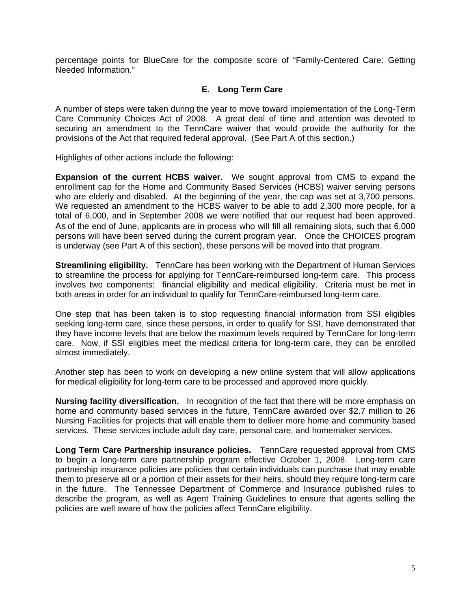percentage points for BlueCare for the composite score of "Family-Centered Care: Getting Needed Information."

## **E. Long Term Care**

A number of steps were taken during the year to move toward implementation of the Long-Term Care Community Choices Act of 2008. A great deal of time and attention was devoted to securing an amendment to the TennCare waiver that would provide the authority for the provisions of the Act that required federal approval. (See Part A of this section.)

Highlights of other actions include the following:

**Expansion of the current HCBS waiver.** We sought approval from CMS to expand the enrollment cap for the Home and Community Based Services (HCBS) waiver serving persons who are elderly and disabled. At the beginning of the year, the cap was set at 3,700 persons. We requested an amendment to the HCBS waiver to be able to add 2,300 more people, for a total of 6,000, and in September 2008 we were notified that our request had been approved. As of the end of June, applicants are in process who will fill all remaining slots, such that 6,000 persons will have been served during the current program year. Once the CHOICES program is underway (see Part A of this section), these persons will be moved into that program.

**Streamlining eligibility.** TennCare has been working with the Department of Human Services to streamline the process for applying for TennCare-reimbursed long-term care. This process involves two components: financial eligibility and medical eligibility. Criteria must be met in both areas in order for an individual to qualify for TennCare-reimbursed long-term care.

One step that has been taken is to stop requesting financial information from SSI eligibles seeking long-term care, since these persons, in order to qualify for SSI, have demonstrated that they have income levels that are below the maximum levels required by TennCare for long-term care. Now, if SSI eligibles meet the medical criteria for long-term care, they can be enrolled almost immediately.

Another step has been to work on developing a new online system that will allow applications for medical eligibility for long-term care to be processed and approved more quickly.

**Nursing facility diversification.** In recognition of the fact that there will be more emphasis on home and community based services in the future, TennCare awarded over \$2.7 million to 26 Nursing Facilities for projects that will enable them to deliver more home and community based services. These services include adult day care, personal care, and homemaker services.

**Long Term Care Partnership insurance policies.** TennCare requested approval from CMS to begin a long-term care partnership program effective October 1, 2008. Long-term care partnership insurance policies are policies that certain individuals can purchase that may enable them to preserve all or a portion of their assets for their heirs, should they require long-term care in the future. The Tennessee Department of Commerce and Insurance published rules to describe the program, as well as Agent Training Guidelines to ensure that agents selling the policies are well aware of how the policies affect TennCare eligibility.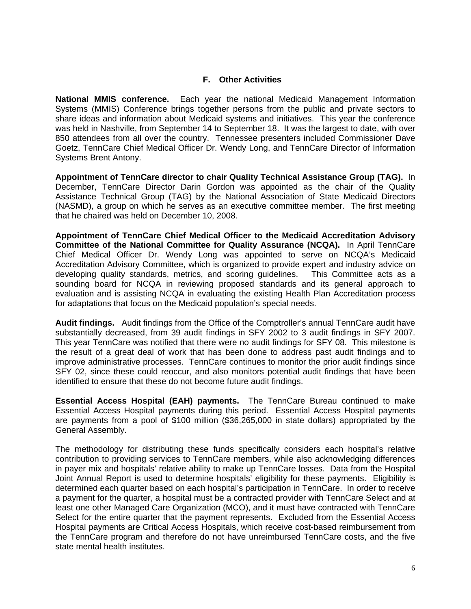## **F. Other Activities**

**National MMIS conference.** Each year the national Medicaid Management Information Systems (MMIS) Conference brings together persons from the public and private sectors to share ideas and information about Medicaid systems and initiatives. This year the conference was held in Nashville, from September 14 to September 18. It was the largest to date, with over 850 attendees from all over the country. Tennessee presenters included Commissioner Dave Goetz, TennCare Chief Medical Officer Dr. Wendy Long, and TennCare Director of Information Systems Brent Antony.

**Appointment of TennCare director to chair Quality Technical Assistance Group (TAG).** In December, TennCare Director Darin Gordon was appointed as the chair of the Quality Assistance Technical Group (TAG) by the National Association of State Medicaid Directors (NASMD), a group on which he serves as an executive committee member. The first meeting that he chaired was held on December 10, 2008.

**Appointment of TennCare Chief Medical Officer to the Medicaid Accreditation Advisory Committee of the National Committee for Quality Assurance (NCQA).** In April TennCare Chief Medical Officer Dr. Wendy Long was appointed to serve on NCQA's Medicaid Accreditation Advisory Committee, which is organized to provide expert and industry advice on developing quality standards, metrics, and scoring guidelines. This Committee acts as a sounding board for NCQA in reviewing proposed standards and its general approach to evaluation and is assisting NCQA in evaluating the existing Health Plan Accreditation process for adaptations that focus on the Medicaid population's special needs.

**Audit findings.** Audit findings from the Office of the Comptroller's annual TennCare audit have substantially decreased, from 39 audit findings in SFY 2002 to 3 audit findings in SFY 2007. This year TennCare was notified that there were no audit findings for SFY 08. This milestone is the result of a great deal of work that has been done to address past audit findings and to improve administrative processes. TennCare continues to monitor the prior audit findings since SFY 02, since these could reoccur, and also monitors potential audit findings that have been identified to ensure that these do not become future audit findings.

**Essential Access Hospital (EAH) payments.** The TennCare Bureau continued to make Essential Access Hospital payments during this period. Essential Access Hospital payments are payments from a pool of \$100 million (\$36,265,000 in state dollars) appropriated by the General Assembly.

The methodology for distributing these funds specifically considers each hospital's relative contribution to providing services to TennCare members, while also acknowledging differences in payer mix and hospitals' relative ability to make up TennCare losses. Data from the Hospital Joint Annual Report is used to determine hospitals' eligibility for these payments. Eligibility is determined each quarter based on each hospital's participation in TennCare. In order to receive a payment for the quarter, a hospital must be a contracted provider with TennCare Select and at least one other Managed Care Organization (MCO), and it must have contracted with TennCare Select for the entire quarter that the payment represents. Excluded from the Essential Access Hospital payments are Critical Access Hospitals, which receive cost-based reimbursement from the TennCare program and therefore do not have unreimbursed TennCare costs, and the five state mental health institutes.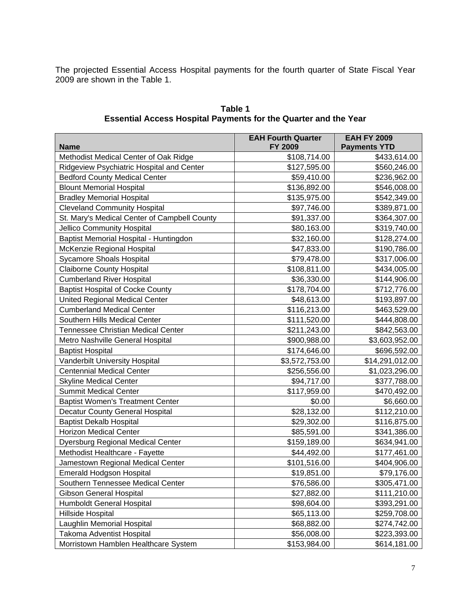The projected Essential Access Hospital payments for the fourth quarter of State Fiscal Year 2009 are shown in the Table 1.

| <b>Name</b>                                  | <b>EAH Fourth Quarter</b><br>FY 2009 | <b>EAH FY 2009</b><br><b>Payments YTD</b> |
|----------------------------------------------|--------------------------------------|-------------------------------------------|
| Methodist Medical Center of Oak Ridge        | \$108,714.00                         | \$433,614.00                              |
| Ridgeview Psychiatric Hospital and Center    | \$127,595.00                         | \$560,246.00                              |
| <b>Bedford County Medical Center</b>         | \$59,410.00                          | \$236,962.00                              |
| <b>Blount Memorial Hospital</b>              | \$136,892.00                         | \$546,008.00                              |
| <b>Bradley Memorial Hospital</b>             | \$135,975.00                         | \$542,349.00                              |
| <b>Cleveland Community Hospital</b>          | \$97,746.00                          | \$389,871.00                              |
| St. Mary's Medical Center of Campbell County | \$91,337.00                          | \$364,307.00                              |
| Jellico Community Hospital                   | \$80,163.00                          | \$319,740.00                              |
| Baptist Memorial Hospital - Huntingdon       | \$32,160.00                          | \$128,274.00                              |
| McKenzie Regional Hospital                   | \$47,833.00                          | \$190,786.00                              |
| <b>Sycamore Shoals Hospital</b>              | \$79,478.00                          | \$317,006.00                              |
| <b>Claiborne County Hospital</b>             | \$108,811.00                         | \$434,005.00                              |
| <b>Cumberland River Hospital</b>             | \$36,330.00                          | \$144,906.00                              |
| <b>Baptist Hospital of Cocke County</b>      | \$178,704.00                         | \$712,776.00                              |
| <b>United Regional Medical Center</b>        | \$48,613.00                          | \$193,897.00                              |
| <b>Cumberland Medical Center</b>             | \$116,213.00                         | \$463,529.00                              |
| Southern Hills Medical Center                | \$111,520.00                         | \$444,808.00                              |
| <b>Tennessee Christian Medical Center</b>    | \$211,243.00                         | \$842,563.00                              |
| Metro Nashville General Hospital             | \$900,988.00                         | \$3,603,952.00                            |
| <b>Baptist Hospital</b>                      | \$174,646.00                         | \$696,592.00                              |
| Vanderbilt University Hospital               | \$3,572,753.00                       | \$14,291,012.00                           |
| <b>Centennial Medical Center</b>             | \$256,556.00                         | \$1,023,296.00                            |
| <b>Skyline Medical Center</b>                | \$94,717.00                          | \$377,788.00                              |
| <b>Summit Medical Center</b>                 | \$117,959.00                         | \$470,492.00                              |
| <b>Baptist Women's Treatment Center</b>      | \$0.00                               | \$6,660.00                                |
| <b>Decatur County General Hospital</b>       | \$28,132.00                          | \$112,210.00                              |
| <b>Baptist Dekalb Hospital</b>               | \$29,302.00                          | \$116,875.00                              |
| <b>Horizon Medical Center</b>                | \$85,591.00                          | \$341,386.00                              |
| <b>Dyersburg Regional Medical Center</b>     | \$159,189.00                         | \$634,941.00                              |
| Methodist Healthcare - Fayette               | \$44,492.00                          | \$177,461.00                              |
| Jamestown Regional Medical Center            | \$101,516.00                         | \$404,906.00                              |
| <b>Emerald Hodgson Hospital</b>              | \$19,851.00                          | \$79,176.00                               |
| Southern Tennessee Medical Center            | \$76,586.00                          | \$305,471.00                              |
| <b>Gibson General Hospital</b>               | \$27,882.00                          | \$111,210.00                              |
| Humboldt General Hospital                    | \$98,604.00                          | \$393,291.00                              |
| Hillside Hospital                            | \$65,113.00                          | \$259,708.00                              |
| Laughlin Memorial Hospital                   | \$68,882.00                          | \$274,742.00                              |
| <b>Takoma Adventist Hospital</b>             | \$56,008.00                          | \$223,393.00                              |
| Morristown Hamblen Healthcare System         | \$153,984.00                         | \$614,181.00                              |

**Table 1 Essential Access Hospital Payments for the Quarter and the Year**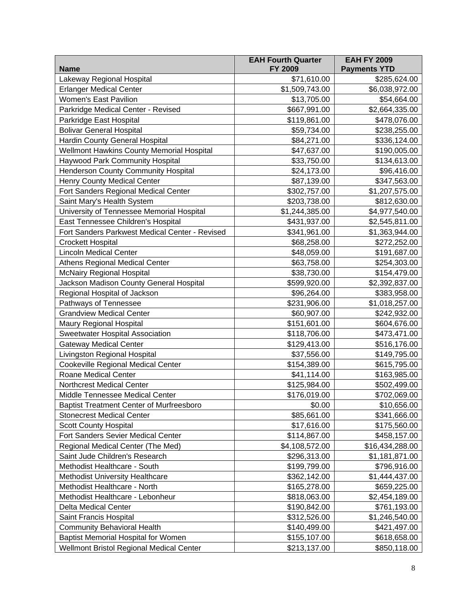|                                                 | <b>EAH Fourth Quarter</b> | <b>EAH FY 2009</b>  |
|-------------------------------------------------|---------------------------|---------------------|
| <b>Name</b>                                     | FY 2009                   | <b>Payments YTD</b> |
| Lakeway Regional Hospital                       | \$71,610.00               | \$285,624.00        |
| <b>Erlanger Medical Center</b>                  | \$1,509,743.00            | \$6,038,972.00      |
| Women's East Pavilion                           | \$13,705.00               | \$54,664.00         |
| Parkridge Medical Center - Revised              | \$667,991.00              | \$2,664,335.00      |
| Parkridge East Hospital                         | \$119,861.00              | \$478,076.00        |
| <b>Bolivar General Hospital</b>                 | \$59,734.00               | \$238,255.00        |
| Hardin County General Hospital                  | \$84,271.00               | \$336,124.00        |
| Wellmont Hawkins County Memorial Hospital       | \$47,637.00               | \$190,005.00        |
| <b>Haywood Park Community Hospital</b>          | \$33,750.00               | \$134,613.00        |
| Henderson County Community Hospital             | \$24,173.00               | \$96,416.00         |
| Henry County Medical Center                     | \$87,139.00               | \$347,563.00        |
| Fort Sanders Regional Medical Center            | \$302,757.00              | \$1,207,575.00      |
| Saint Mary's Health System                      | \$203,738.00              | \$812,630.00        |
| University of Tennessee Memorial Hospital       | \$1,244,385.00            | \$4,977,540.00      |
| East Tennessee Children's Hospital              | \$431,937.00              | \$2,545,811.00      |
| Fort Sanders Parkwest Medical Center - Revised  | \$341,961.00              | \$1,363,944.00      |
| <b>Crockett Hospital</b>                        | \$68,258.00               | \$272,252.00        |
| <b>Lincoln Medical Center</b>                   | \$48,059.00               | \$191,687.00        |
| <b>Athens Regional Medical Center</b>           | \$63,758.00               | \$254,303.00        |
| <b>McNairy Regional Hospital</b>                | \$38,730.00               | \$154,479.00        |
| Jackson Madison County General Hospital         | \$599,920.00              | \$2,392,837.00      |
| Regional Hospital of Jackson                    | \$96,264.00               | \$383,958.00        |
| Pathways of Tennessee                           | \$231,906.00              | \$1,018,257.00      |
| <b>Grandview Medical Center</b>                 | \$60,907.00               | \$242,932.00        |
| Maury Regional Hospital                         | \$151,601.00              | \$604,676.00        |
| <b>Sweetwater Hospital Association</b>          | \$118,706.00              | \$473,471.00        |
| <b>Gateway Medical Center</b>                   | \$129,413.00              | \$516,176.00        |
| Livingston Regional Hospital                    | \$37,556.00               | \$149,795.00        |
| Cookeville Regional Medical Center              | \$154,389.00              | \$615,795.00        |
| Roane Medical Center                            | \$41,114.00               | \$163,985.00        |
| <b>Northcrest Medical Center</b>                | \$125,984.00              | \$502,499.00        |
| Middle Tennessee Medical Center                 | \$176,019.00              | \$702,069.00        |
| <b>Baptist Treatment Center of Murfreesboro</b> | \$0.00                    | \$10,656.00         |
| <b>Stonecrest Medical Center</b>                | \$85,661.00               | \$341,666.00        |
| <b>Scott County Hospital</b>                    | \$17,616.00               | \$175,560.00        |
| Fort Sanders Sevier Medical Center              | \$114,867.00              | \$458,157.00        |
| Regional Medical Center (The Med)               | \$4,108,572.00            | \$16,434,288.00     |
| Saint Jude Children's Research                  | \$296,313.00              | \$1,181,871.00      |
| Methodist Healthcare - South                    | \$199,799.00              | \$796,916.00        |
| Methodist University Healthcare                 | \$362,142.00              | \$1,444,437.00      |
| Methodist Healthcare - North                    | \$165,278.00              | \$659,225.00        |
| Methodist Healthcare - Lebonheur                | \$818,063.00              | \$2,454,189.00      |
| <b>Delta Medical Center</b>                     | \$190,842.00              | \$761,193.00        |
| Saint Francis Hospital                          | \$312,526.00              | \$1,246,540.00      |
| <b>Community Behavioral Health</b>              | \$140,499.00              | \$421,497.00        |
| <b>Baptist Memorial Hospital for Women</b>      | \$155,107.00              | \$618,658.00        |
| Wellmont Bristol Regional Medical Center        | \$213,137.00              | \$850,118.00        |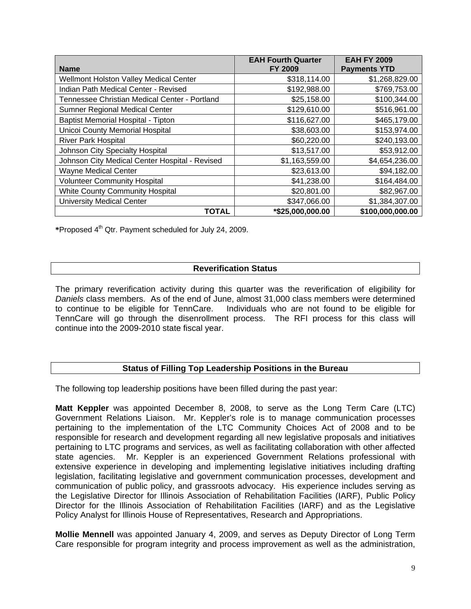|                                                | <b>EAH Fourth Quarter</b> | <b>EAH FY 2009</b>  |
|------------------------------------------------|---------------------------|---------------------|
| <b>Name</b>                                    | <b>FY 2009</b>            | <b>Payments YTD</b> |
| Wellmont Holston Valley Medical Center         | \$318,114.00              | \$1,268,829.00      |
| Indian Path Medical Center - Revised           | \$192,988.00              | \$769,753.00        |
| Tennessee Christian Medical Center - Portland  | \$25,158.00               | \$100,344.00        |
| Sumner Regional Medical Center                 | \$129,610.00              | \$516,961.00        |
| Baptist Memorial Hospital - Tipton             | \$116,627.00              | \$465,179.00        |
| <b>Unicoi County Memorial Hospital</b>         | \$38,603.00               | \$153,974.00        |
| <b>River Park Hospital</b>                     | \$60,220.00               | \$240,193.00        |
| Johnson City Specialty Hospital                | \$13,517.00               | \$53,912.00         |
| Johnson City Medical Center Hospital - Revised | \$1,163,559.00            | \$4,654,236.00      |
| Wayne Medical Center                           | \$23,613.00               | \$94,182.00         |
| <b>Volunteer Community Hospital</b>            | \$41,238.00               | \$164,484.00        |
| White County Community Hospital                | \$20,801.00               | \$82,967.00         |
| <b>University Medical Center</b>               | \$347,066.00              | \$1,384,307.00      |
| <b>TOTAL</b>                                   | *\$25,000,000.00          | \$100,000,000.00    |

**\***Proposed 4th Qtr. Payment scheduled for July 24, 2009.

## **Reverification Status**

The primary reverification activity during this quarter was the reverification of eligibility for *Daniels* class members. As of the end of June, almost 31,000 class members were determined to continue to be eligible for TennCare. Individuals who are not found to be eligible for Individuals who are not found to be eligible for TennCare will go through the disenrollment process. The RFI process for this class will continue into the 2009-2010 state fiscal year.

## **Status of Filling Top Leadership Positions in the Bureau**

The following top leadership positions have been filled during the past year:

**Matt Keppler** was appointed December 8, 2008, to serve as the Long Term Care (LTC) Government Relations Liaison. Mr. Keppler's role is to manage communication processes pertaining to the implementation of the LTC Community Choices Act of 2008 and to be responsible for research and development regarding all new legislative proposals and initiatives pertaining to LTC programs and services, as well as facilitating collaboration with other affected state agencies. Mr. Keppler is an experienced Government Relations professional with extensive experience in developing and implementing legislative initiatives including drafting legislation, facilitating legislative and government communication processes, development and communication of public policy, and grassroots advocacy. His experience includes serving as the Legislative Director for Illinois Association of Rehabilitation Facilities (IARF), Public Policy Director for the Illinois Association of Rehabilitation Facilities (IARF) and as the Legislative Policy Analyst for Illinois House of Representatives, Research and Appropriations.

**Mollie Mennell** was appointed January 4, 2009, and serves as Deputy Director of Long Term Care responsible for program integrity and process improvement as well as the administration,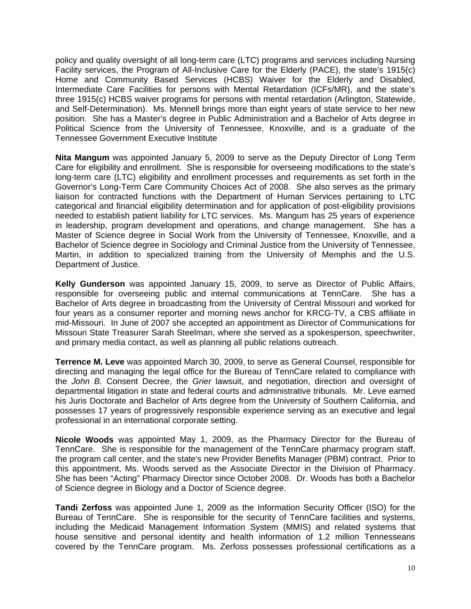policy and quality oversight of all long-term care (LTC) programs and services including Nursing Facility services, the Program of All-Inclusive Care for the Elderly (PACE), the state's 1915(c) Home and Community Based Services (HCBS) Waiver for the Elderly and Disabled, Intermediate Care Facilities for persons with Mental Retardation (ICFs/MR), and the state's three 1915(c) HCBS waiver programs for persons with mental retardation (Arlington, Statewide, and Self-Determination). Ms. Mennell brings more than eight years of state service to her new position. She has a Master's degree in Public Administration and a Bachelor of Arts degree in Political Science from the University of Tennessee, Knoxville, and is a graduate of the Tennessee Government Executive Institute

**Nita Mangum** was appointed January 5, 2009 to serve as the Deputy Director of Long Term Care for eligibility and enrollment. She is responsible for overseeing modifications to the state's long-term care (LTC) eligibility and enrollment processes and requirements as set forth in the Governor's Long-Term Care Community Choices Act of 2008. She also serves as the primary liaison for contracted functions with the Department of Human Services pertaining to LTC categorical and financial eligibility determination and for application of post-eligibility provisions needed to establish patient liability for LTC services. Ms. Mangum has 25 years of experience in leadership, program development and operations, and change management. She has a Master of Science degree in Social Work from the University of Tennessee, Knoxville, and a Bachelor of Science degree in Sociology and Criminal Justice from the University of Tennessee, Martin, in addition to specialized training from the University of Memphis and the U.S. Department of Justice.

**Kelly Gunderson** was appointed January 15, 2009, to serve as Director of Public Affairs, responsible for overseeing public and internal communications at TennCare. She has a Bachelor of Arts degree in broadcasting from the University of Central Missouri and worked for four years as a consumer reporter and morning news anchor for KRCG-TV, a CBS affiliate in mid-Missouri. In June of 2007 she accepted an appointment as Director of Communications for Missouri State Treasurer Sarah Steelman, where she served as a spokesperson, speechwriter, and primary media contact, as well as planning all public relations outreach.

**Terrence M. Leve** was appointed March 30, 2009, to serve as General Counsel, responsible for directing and managing the legal office for the Bureau of TennCare related to compliance with the *John B.* Consent Decree, the *Grier* lawsuit, and negotiation, direction and oversight of departmental litigation in state and federal courts and administrative tribunals. Mr. Leve earned his Juris Doctorate and Bachelor of Arts degree from the University of Southern California, and possesses 17 years of progressively responsible experience serving as an executive and legal professional in an international corporate setting.

**Nicole Woods** was appointed May 1, 2009, as the Pharmacy Director for the Bureau of TennCare. She is responsible for the management of the TennCare pharmacy program staff, the program call center, and the state's new Provider Benefits Manager (PBM) contract. Prior to this appointment, Ms. Woods served as the Associate Director in the Division of Pharmacy. She has been "Acting" Pharmacy Director since October 2008. Dr. Woods has both a Bachelor of Science degree in Biology and a Doctor of Science degree.

**Tandi Zerfoss** was appointed June 1, 2009 as the Information Security Officer (ISO) for the Bureau of TennCare. She is responsible for the security of TennCare facilities and systems, including the Medicaid Management Information System (MMIS) and related systems that house sensitive and personal identity and health information of 1.2 million Tennesseans covered by the TennCare program. Ms. Zerfoss possesses professional certifications as a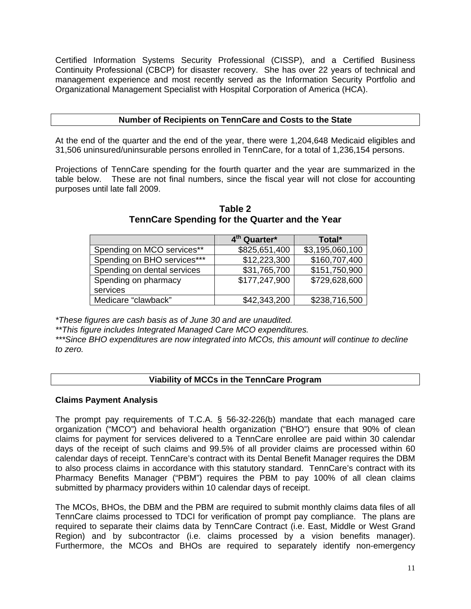Certified Information Systems Security Professional (CISSP), and a Certified Business Continuity Professional (CBCP) for disaster recovery. She has over 22 years of technical and management experience and most recently served as the Information Security Portfolio and Organizational Management Specialist with Hospital Corporation of America (HCA).

## **Number of Recipients on TennCare and Costs to the State**

At the end of the quarter and the end of the year, there were 1,204,648 Medicaid eligibles and 31,506 uninsured/uninsurable persons enrolled in TennCare, for a total of 1,236,154 persons.

Projections of TennCare spending for the fourth quarter and the year are summarized in the table below. These are not final numbers, since the fiscal year will not close for accounting purposes until late fall 2009.

|                             | 4 <sup>th</sup> Quarter* | Total*          |
|-----------------------------|--------------------------|-----------------|
| Spending on MCO services**  | \$825,651,400            | \$3,195,060,100 |
| Spending on BHO services*** | \$12,223,300             | \$160,707,400   |
| Spending on dental services | \$31,765,700             | \$151,750,900   |
| Spending on pharmacy        | \$177,247,900            | \$729,628,600   |
| services                    |                          |                 |
| Medicare "clawback"         | \$42,343,200             | \$238,716,500   |

**Table 2 TennCare Spending for the Quarter and the Year** 

*\*These figures are cash basis as of June 30 and are unaudited.* 

*\*\*This figure includes Integrated Managed Care MCO expenditures.* 

*\*\*\*Since BHO expenditures are now integrated into MCOs, this amount will continue to decline to zero.* 

## **Viability of MCCs in the TennCare Program**

## **Claims Payment Analysis**

The prompt pay requirements of T.C.A. § 56-32-226(b) mandate that each managed care organization ("MCO") and behavioral health organization ("BHO") ensure that 90% of clean claims for payment for services delivered to a TennCare enrollee are paid within 30 calendar days of the receipt of such claims and 99.5% of all provider claims are processed within 60 calendar days of receipt. TennCare's contract with its Dental Benefit Manager requires the DBM to also process claims in accordance with this statutory standard. TennCare's contract with its Pharmacy Benefits Manager ("PBM") requires the PBM to pay 100% of all clean claims submitted by pharmacy providers within 10 calendar days of receipt.

The MCOs, BHOs, the DBM and the PBM are required to submit monthly claims data files of all TennCare claims processed to TDCI for verification of prompt pay compliance. The plans are required to separate their claims data by TennCare Contract (i.e. East, Middle or West Grand Region) and by subcontractor (i.e. claims processed by a vision benefits manager). Furthermore, the MCOs and BHOs are required to separately identify non-emergency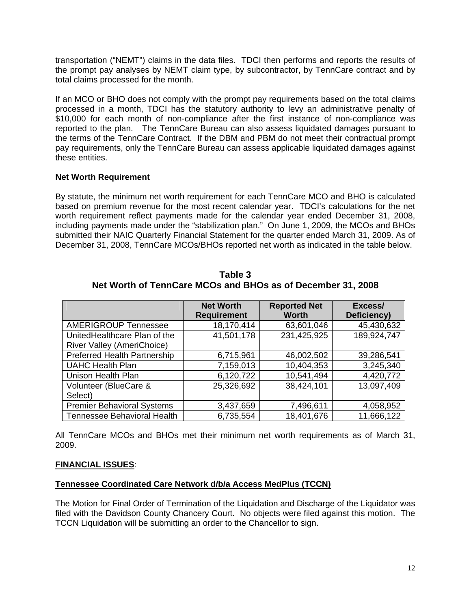transportation ("NEMT") claims in the data files. TDCI then performs and reports the results of the prompt pay analyses by NEMT claim type, by subcontractor, by TennCare contract and by total claims processed for the month.

If an MCO or BHO does not comply with the prompt pay requirements based on the total claims processed in a month, TDCI has the statutory authority to levy an administrative penalty of \$10,000 for each month of non-compliance after the first instance of non-compliance was reported to the plan. The TennCare Bureau can also assess liquidated damages pursuant to the terms of the TennCare Contract. If the DBM and PBM do not meet their contractual prompt pay requirements, only the TennCare Bureau can assess applicable liquidated damages against these entities.

## **Net Worth Requirement**

By statute, the minimum net worth requirement for each TennCare MCO and BHO is calculated based on premium revenue for the most recent calendar year. TDCI's calculations for the net worth requirement reflect payments made for the calendar year ended December 31, 2008, including payments made under the "stabilization plan." On June 1, 2009, the MCOs and BHOs submitted their NAIC Quarterly Financial Statement for the quarter ended March 31, 2009. As of December 31, 2008, TennCare MCOs/BHOs reported net worth as indicated in the table below.

|                                                                   | <b>Net Worth</b><br><b>Requirement</b> | <b>Reported Net</b><br><b>Worth</b> | Excess/<br>Deficiency) |
|-------------------------------------------------------------------|----------------------------------------|-------------------------------------|------------------------|
| <b>AMERIGROUP Tennessee</b>                                       | 18,170,414                             | 63,601,046                          | 45,430,632             |
| UnitedHealthcare Plan of the<br><b>River Valley (AmeriChoice)</b> | 41,501,178                             | 231,425,925                         | 189,924,747            |
| <b>Preferred Health Partnership</b>                               | 6,715,961                              | 46,002,502                          | 39,286,541             |
| <b>UAHC Health Plan</b>                                           | 7,159,013                              | 10,404,353                          | 3,245,340              |
| Unison Health Plan                                                | 6,120,722                              | 10,541,494                          | 4,420,772              |
| Volunteer (BlueCare &<br>Select)                                  | 25,326,692                             | 38,424,101                          | 13,097,409             |
| <b>Premier Behavioral Systems</b>                                 | 3,437,659                              | 7,496,611                           | 4,058,952              |
| <b>Tennessee Behavioral Health</b>                                | 6,735,554                              | 18,401,676                          | 11,666,122             |

**Table 3 Net Worth of TennCare MCOs and BHOs as of December 31, 2008** 

All TennCare MCOs and BHOs met their minimum net worth requirements as of March 31, 2009.

## **FINANCIAL ISSUES**:

## **Tennessee Coordinated Care Network d/b/a Access MedPlus (TCCN)**

The Motion for Final Order of Termination of the Liquidation and Discharge of the Liquidator was filed with the Davidson County Chancery Court. No objects were filed against this motion. The TCCN Liquidation will be submitting an order to the Chancellor to sign.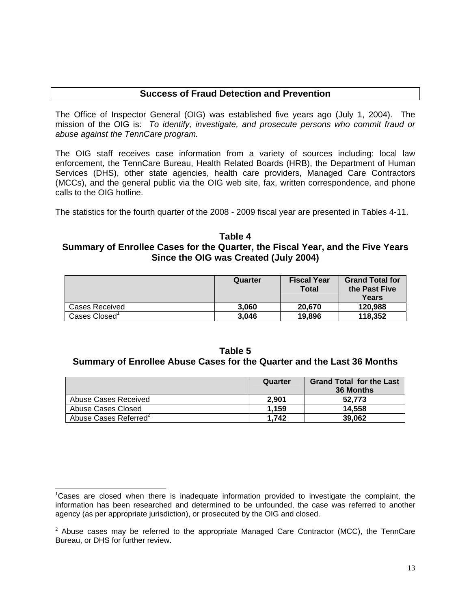## **Success of Fraud Detection and Prevention**

The Office of Inspector General (OIG) was established five years ago (July 1, 2004). The mission of the OIG is: *To identify, investigate, and prosecute persons who commit fraud or abuse against the TennCare program.* 

The OIG staff receives case information from a variety of sources including: local law enforcement, the TennCare Bureau, Health Related Boards (HRB), the Department of Human Services (DHS), other state agencies, health care providers, Managed Care Contractors (MCCs), and the general public via the OIG web site, fax, written correspondence, and phone calls to the OIG hotline.

The statistics for the fourth quarter of the 2008 - 2009 fiscal year are presented in Tables 4-11.

## **Table 4 Summary of Enrollee Cases for the Quarter, the Fiscal Year, and the Five Years Since the OIG was Created (July 2004)**

|                | Quarter | <b>Fiscal Year</b><br><b>Total</b> | <b>Grand Total for</b><br>the Past Five<br>Years |
|----------------|---------|------------------------------------|--------------------------------------------------|
| Cases Received | 3.060   | 20.670                             | 120.988                                          |
| Cases Closed   | 3,046   | 19,896                             | 118,352                                          |

## **Table 5 Summary of Enrollee Abuse Cases for the Quarter and the Last 36 Months**

|                      | Quarter | <b>Grand Total for the Last</b><br>36 Months |
|----------------------|---------|----------------------------------------------|
| Abuse Cases Received | 2.901   | 52.773                                       |
| Abuse Cases Closed   | 1.159   | 14.558                                       |
| Abuse Cases Referred | 1.742   | 39,062                                       |

 $\overline{\phantom{a}}$ <sup>1</sup>Cases are closed when there is inadequate information provided to investigate the complaint, the information has been researched and determined to be unfounded, the case was referred to another agency (as per appropriate jurisdiction), or prosecuted by the OIG and closed.

 $2$  Abuse cases may be referred to the appropriate Managed Care Contractor (MCC), the TennCare Bureau, or DHS for further review.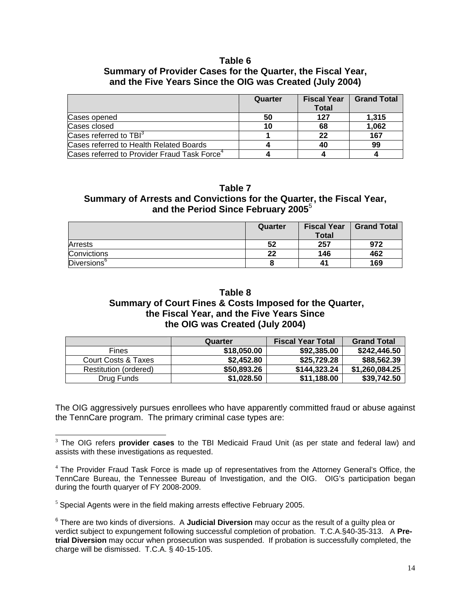## **Table 6**

## **Summary of Provider Cases for the Quarter, the Fiscal Year, and the Five Years Since the OIG was Created (July 2004)**

|                                                          | Quarter | <b>Fiscal Year</b><br><b>Total</b> | <b>Grand Total</b> |
|----------------------------------------------------------|---------|------------------------------------|--------------------|
| Cases opened                                             | 50      | 127                                | 1.315              |
| Cases closed                                             | 10      | 68                                 | 1,062              |
| Cases referred to TBI <sup>3</sup>                       |         | 22                                 | 167                |
| Cases referred to Health Related Boards                  |         | 40                                 | 99                 |
| Cases referred to Provider Fraud Task Force <sup>4</sup> |         |                                    |                    |

**Table 7 Summary of Arrests and Convictions for the Quarter, the Fiscal Year, and the Period Since February 2005**<sup>5</sup> 

|                         | Quarter | <b>Fiscal Year</b><br><b>Total</b> | <b>Grand Total</b> |
|-------------------------|---------|------------------------------------|--------------------|
| <b>Arrests</b>          | 52      | 257                                | 972                |
| Convictions             | 22      | 146                                | 462                |
| Diversions <sup>o</sup> |         | 41                                 | 169                |

## **Table 8 Summary of Court Fines & Costs Imposed for the Quarter, the Fiscal Year, and the Five Years Since the OIG was Created (July 2004)**

|                       | Quarter     | <b>Fiscal Year Total</b> | <b>Grand Total</b> |
|-----------------------|-------------|--------------------------|--------------------|
| Fines                 | \$18,050.00 | \$92,385.00              | \$242,446.50       |
| Court Costs & Taxes   | \$2,452.80  | \$25,729,28              | \$88,562.39        |
| Restitution (ordered) | \$50,893.26 | \$144,323.24             | \$1,260,084.25     |
| Drug Funds            | \$1,028.50  | \$11,188.00              | \$39,742.50        |

The OIG aggressively pursues enrollees who have apparently committed fraud or abuse against the TennCare program. The primary criminal case types are:

 $<sup>5</sup>$  Special Agents were in the field making arrests effective February 2005.</sup>

 $\overline{\phantom{a}}$ <sup>3</sup> The OIG refers **provider cases** to the TBI Medicaid Fraud Unit (as per state and federal law) and assists with these investigations as requested.

<sup>4</sup> The Provider Fraud Task Force is made up of representatives from the Attorney General's Office, the TennCare Bureau, the Tennessee Bureau of Investigation, and the OIG. OIG's participation began during the fourth quaryer of FY 2008-2009.

<sup>6</sup> There are two kinds of diversions. A **Judicial Diversion** may occur as the result of a guilty plea or verdict subject to expungement following successful completion of probation. T.C.A.§40-35-313. A **Pretrial Diversion** may occur when prosecution was suspended. If probation is successfully completed, the charge will be dismissed. T.C.A. § 40-15-105.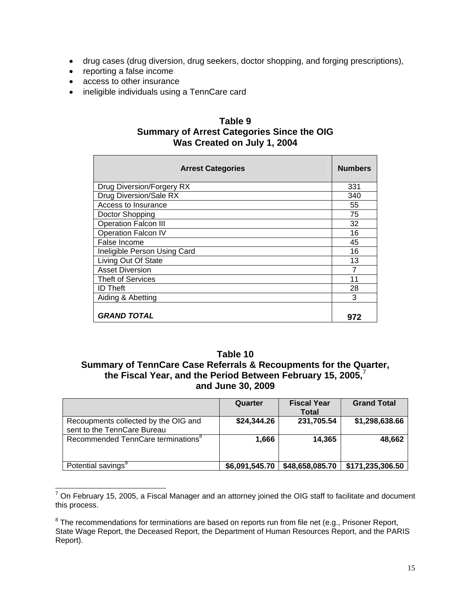- drug cases (drug diversion, drug seekers, doctor shopping, and forging prescriptions),
- reporting a false income
- access to other insurance
- ineligible individuals using a TennCare card

## **Table 9 Summary of Arrest Categories Since the OIG Was Created on July 1, 2004**

| <b>Arrest Categories</b>     | <b>Numbers</b> |
|------------------------------|----------------|
| Drug Diversion/Forgery RX    | 331            |
| Drug Diversion/Sale RX       | 340            |
| Access to Insurance          | 55             |
| Doctor Shopping              | 75             |
| <b>Operation Falcon III</b>  | 32             |
| <b>Operation Falcon IV</b>   | 16             |
| False Income                 | 45             |
| Ineligible Person Using Card | 16             |
| Living Out Of State          | 13             |
| Asset Diversion              | 7              |
| <b>Theft of Services</b>     | 11             |
| <b>ID Theft</b>              | 28             |
| Aiding & Abetting            | 3              |
| <b>GRAND TOTAL</b>           | 972            |

## **Table 10**

## **Summary of TennCare Case Referrals & Recoupments for the Quarter, the Fiscal Year, and the Period Between February 15, 2005,**<sup>7</sup> **and June 30, 2009**

|                                                                     | Quarter        | <b>Fiscal Year</b> |                  |
|---------------------------------------------------------------------|----------------|--------------------|------------------|
|                                                                     |                | <b>Total</b>       |                  |
| Recoupments collected by the OIG and<br>sent to the TennCare Bureau | \$24,344.26    | 231,705.54         | \$1,298,638.66   |
| Recommended TennCare terminations <sup>8</sup>                      | 1,666          | 14,365             | 48,662           |
| Potential savings <sup>9</sup>                                      | \$6,091,545.70 | \$48,658,085.70    | \$171,235,306.50 |

<sup>&</sup>lt;u>messes</u><br><sup>7</sup> On February 15, 2005, a Fiscal Manager and an attorney joined the OIG staff to facilitate and document this process.

 $8$  The recommendations for terminations are based on reports run from file net (e.g., Prisoner Report, State Wage Report, the Deceased Report, the Department of Human Resources Report, and the PARIS Report).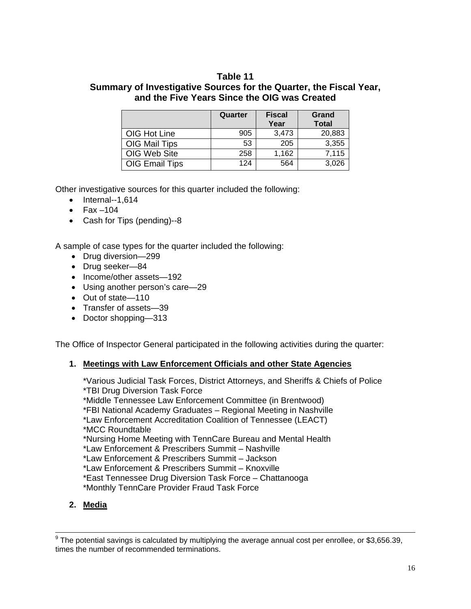## **Table 11**

## **Summary of Investigative Sources for the Quarter, the Fiscal Year, and the Five Years Since the OIG was Created**

|                | Quarter | <b>Fiscal</b><br>Year | Grand<br><b>Total</b> |
|----------------|---------|-----------------------|-----------------------|
| OIG Hot Line   | 905     | 3,473                 | 20,883                |
| OIG Mail Tips  | 53      | 205                   | 3,355                 |
| OIG Web Site   | 258     | 1,162                 | 7,115                 |
| OIG Email Tips | 124     | 564                   | 3,026                 |

Other investigative sources for this quarter included the following:

- $\bullet$  Internal--1,614
- $\bullet$  Fax –104
- Cash for Tips (pending)--8

A sample of case types for the quarter included the following:

- Drug diversion-299
- Drug seeker-84
- Income/other assets-192
- Using another person's care—29
- Out of state—110
- Transfer of assets-39
- Doctor shopping—313

The Office of Inspector General participated in the following activities during the quarter:

## **1. Meetings with Law Enforcement Officials and other State Agencies**

\*Various Judicial Task Forces, District Attorneys, and Sheriffs & Chiefs of Police \*TBI Drug Diversion Task Force \*Middle Tennessee Law Enforcement Committee (in Brentwood) \*FBI National Academy Graduates – Regional Meeting in Nashville \*Law Enforcement Accreditation Coalition of Tennessee (LEACT) \*MCC Roundtable \*Nursing Home Meeting with TennCare Bureau and Mental Health \*Law Enforcement & Prescribers Summit – Nashville \*Law Enforcement & Prescribers Summit – Jackson \*Law Enforcement & Prescribers Summit – Knoxville \*East Tennessee Drug Diversion Task Force – Chattanooga

\*Monthly TennCare Provider Fraud Task Force

**2. Media**

<sup>&</sup>lt;sup>9</sup><br>The potential savings is calculated by multiplying the average annual cost per enrollee, or \$3,656.39, times the number of recommended terminations.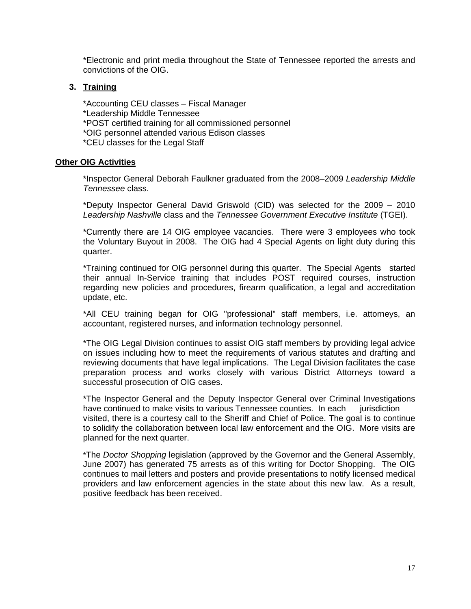\*Electronic and print media throughout the State of Tennessee reported the arrests and convictions of the OIG.

## **3. Training**

\*Accounting CEU classes – Fiscal Manager \*Leadership Middle Tennessee \*POST certified training for all commissioned personnel \*OIG personnel attended various Edison classes

\*CEU classes for the Legal Staff

#### **Other OIG Activities**

\*Inspector General Deborah Faulkner graduated from the 2008–2009 *Leadership Middle Tennessee* class.

\*Deputy Inspector General David Griswold (CID) was selected for the 2009 – 2010 *Leadership Nashville* class and the *Tennessee Government Executive Institute* (TGEI).

\*Currently there are 14 OIG employee vacancies. There were 3 employees who took the Voluntary Buyout in 2008. The OIG had 4 Special Agents on light duty during this quarter.

\*Training continued for OIG personnel during this quarter. The Special Agents started their annual In-Service training that includes POST required courses, instruction regarding new policies and procedures, firearm qualification, a legal and accreditation update, etc.

\*All CEU training began for OIG "professional" staff members, i.e. attorneys, an accountant, registered nurses, and information technology personnel.

\*The OIG Legal Division continues to assist OIG staff members by providing legal advice on issues including how to meet the requirements of various statutes and drafting and reviewing documents that have legal implications. The Legal Division facilitates the case preparation process and works closely with various District Attorneys toward a successful prosecution of OIG cases.

\*The Inspector General and the Deputy Inspector General over Criminal Investigations have continued to make visits to various Tennessee counties. In each jurisdiction visited, there is a courtesy call to the Sheriff and Chief of Police. The goal is to continue to solidify the collaboration between local law enforcement and the OIG. More visits are planned for the next quarter.

 \*The *Doctor Shopping* legislation (approved by the Governor and the General Assembly, June 2007) has generated 75 arrests as of this writing for Doctor Shopping. The OIG continues to mail letters and posters and provide presentations to notify licensed medical providers and law enforcement agencies in the state about this new law. As a result, positive feedback has been received.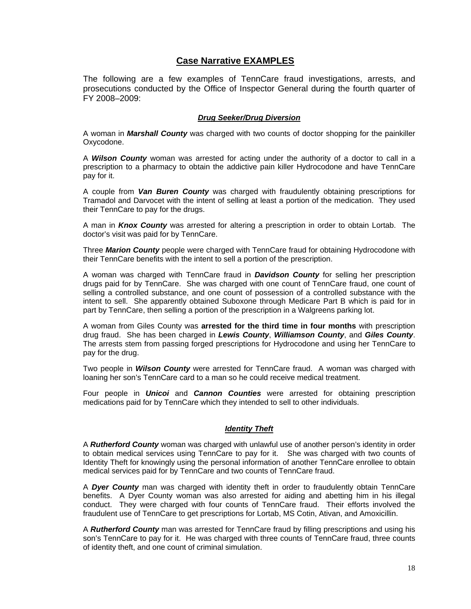## **Case Narrative EXAMPLES**

The following are a few examples of TennCare fraud investigations, arrests, and prosecutions conducted by the Office of Inspector General during the fourth quarter of FY 2008–2009:

#### *Drug Seeker/Drug Diversion*

A woman in *Marshall County* was charged with two counts of doctor shopping for the painkiller Oxycodone.

A *Wilson County* woman was arrested for acting under the authority of a doctor to call in a prescription to a pharmacy to obtain the addictive pain killer Hydrocodone and have TennCare pay for it.

A couple from *Van Buren County* was charged with fraudulently obtaining prescriptions for Tramadol and Darvocet with the intent of selling at least a portion of the medication. They used their TennCare to pay for the drugs.

A man in *Knox County* was arrested for altering a prescription in order to obtain Lortab. The doctor's visit was paid for by TennCare.

Three *Marion County* people were charged with TennCare fraud for obtaining Hydrocodone with their TennCare benefits with the intent to sell a portion of the prescription.

A woman was charged with TennCare fraud in *Davidson County* for selling her prescription drugs paid for by TennCare. She was charged with one count of TennCare fraud, one count of selling a controlled substance, and one count of possession of a controlled substance with the intent to sell. She apparently obtained Suboxone through Medicare Part B which is paid for in part by TennCare, then selling a portion of the prescription in a Walgreens parking lot.

A woman from Giles County was **arrested for the third time in four months** with prescription drug fraud. She has been charged in *Lewis County*, *Williamson County*, and *Giles County*. The arrests stem from passing forged prescriptions for Hydrocodone and using her TennCare to pay for the drug.

Two people in *Wilson County* were arrested for TennCare fraud. A woman was charged with loaning her son's TennCare card to a man so he could receive medical treatment.

Four people in *Unicoi* and *Cannon Counties* were arrested for obtaining prescription medications paid for by TennCare which they intended to sell to other individuals.

#### *Identity Theft*

A *Rutherford County* woman was charged with unlawful use of another person's identity in order to obtain medical services using TennCare to pay for it. She was charged with two counts of Identity Theft for knowingly using the personal information of another TennCare enrollee to obtain medical services paid for by TennCare and two counts of TennCare fraud.

A *Dyer County* man was charged with identity theft in order to fraudulently obtain TennCare benefits. A Dyer County woman was also arrested for aiding and abetting him in his illegal conduct. They were charged with four counts of TennCare fraud. Their efforts involved the fraudulent use of TennCare to get prescriptions for Lortab, MS Cotin, Ativan, and Amoxicillin.

A *Rutherford County* man was arrested for TennCare fraud by filling prescriptions and using his son's TennCare to pay for it. He was charged with three counts of TennCare fraud, three counts of identity theft, and one count of criminal simulation.